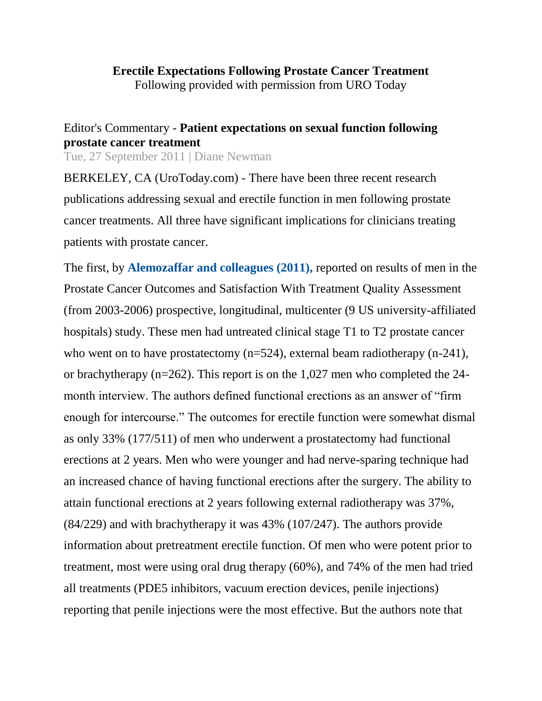## Editor's Commentary - **Patient expectations on sexual function following prostate cancer treatment**

Tue, 27 September 2011 | Diane Newman

BERKELEY, CA (UroToday.com) - There have been three recent research publications addressing sexual and erectile function in men following prostate cancer treatments. All three have significant implications for clinicians treating patients with prostate cancer.

The first, by **[Alemozaffar and colleagues \(2011\),](http://www.urotoday.com/erectile-dysfunction-1437/prediction-of-erectile-function-following-treatment-for-prostate-cancer-abstract.html)** reported on results of men in the Prostate Cancer Outcomes and Satisfaction With Treatment Quality Assessment (from 2003-2006) prospective, longitudinal, multicenter (9 US university-affiliated hospitals) study. These men had untreated clinical stage T1 to T2 prostate cancer who went on to have prostatectomy (n=524), external beam radiotherapy (n-241), or brachytherapy (n=262). This report is on the 1,027 men who completed the 24 month interview. The authors defined functional erections as an answer of "firm enough for intercourse." The outcomes for erectile function were somewhat dismal as only 33% (177/511) of men who underwent a prostatectomy had functional erections at 2 years. Men who were younger and had nerve-sparing technique had an increased chance of having functional erections after the surgery. The ability to attain functional erections at 2 years following external radiotherapy was 37%, (84/229) and with brachytherapy it was 43% (107/247). The authors provide information about pretreatment erectile function. Of men who were potent prior to treatment, most were using oral drug therapy (60%), and 74% of the men had tried all treatments (PDE5 inhibitors, vacuum erection devices, penile injections) reporting that penile injections were the most effective. But the authors note that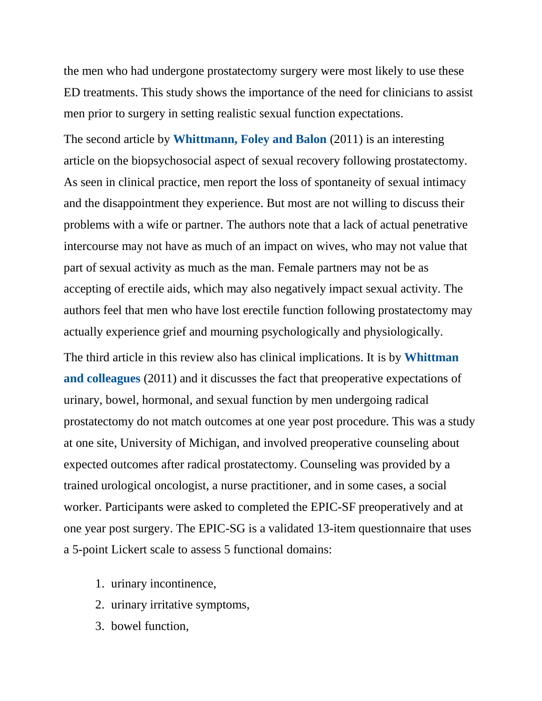the men who had undergone prostatectomy surgery were most likely to use these ED treatments. This study shows the importance of the need for clinicians to assist men prior to surgery in setting realistic sexual function expectations.

The second article by **[Whittmann, Foley and Balon](http://www.urotoday.com/erectile-dysfunction-1437/a-biopsychosocial-approach-to-sexual-recovery-after-prostate-cancer-surgery-the-role-of-grief-and-mourning-abstract-.html)** (2011) is an interesting article on the biopsychosocial aspect of sexual recovery following prostatectomy. As seen in clinical practice, men report the loss of spontaneity of sexual intimacy and the disappointment they experience. But most are not willing to discuss their problems with a wife or partner. The authors note that a lack of actual penetrative intercourse may not have as much of an impact on wives, who may not value that part of sexual activity as much as the man. Female partners may not be as accepting of erectile aids, which may also negatively impact sexual activity. The authors feel that men who have lost erectile function following prostatectomy may actually experience grief and mourning psychologically and physiologically. The third article in this review also has clinical implications. It is by **[Whittman](http://www.urotoday.com/erectile-dysfunction-1437/patient-preoperative-expectations-of-urinary-bowel-hormonal-and-sexual-functioning-do-not-match-actual-outcomes-1-year-after-radical-prostatectomy-abstract-.html)  [and colleagues](http://www.urotoday.com/erectile-dysfunction-1437/patient-preoperative-expectations-of-urinary-bowel-hormonal-and-sexual-functioning-do-not-match-actual-outcomes-1-year-after-radical-prostatectomy-abstract-.html)** (2011) and it discusses the fact that preoperative expectations of urinary, bowel, hormonal, and sexual function by men undergoing radical prostatectomy do not match outcomes at one year post procedure. This was a study at one site, University of Michigan, and involved preoperative counseling about expected outcomes after radical prostatectomy. Counseling was provided by a trained urological oncologist, a nurse practitioner, and in some cases, a social worker. Participants were asked to completed the EPIC-SF preoperatively and at one year post surgery. The EPIC-SG is a validated 13-item questionnaire that uses a 5-point Lickert scale to assess 5 functional domains:

- 1. urinary incontinence,
- 2. urinary irritative symptoms,
- 3. bowel function,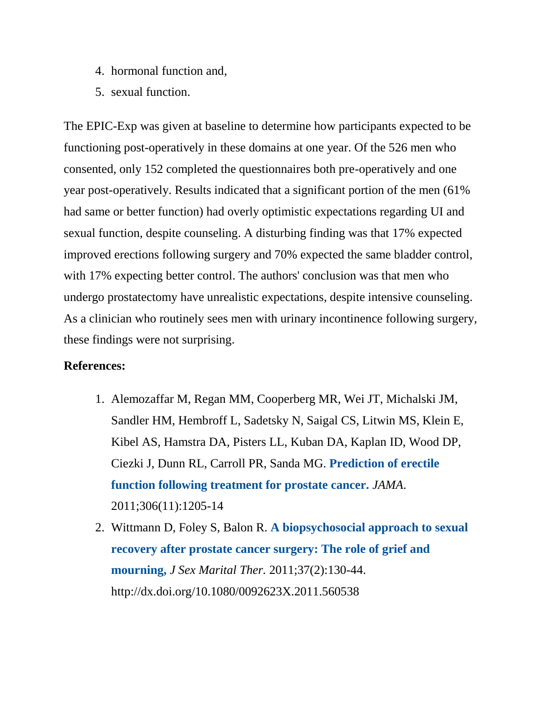- 4. hormonal function and,
- 5. sexual function.

The EPIC-Exp was given at baseline to determine how participants expected to be functioning post-operatively in these domains at one year. Of the 526 men who consented, only 152 completed the questionnaires both pre-operatively and one year post-operatively. Results indicated that a significant portion of the men (61% had same or better function) had overly optimistic expectations regarding UI and sexual function, despite counseling. A disturbing finding was that 17% expected improved erections following surgery and 70% expected the same bladder control, with 17% expecting better control. The authors' conclusion was that men who undergo prostatectomy have unrealistic expectations, despite intensive counseling. As a clinician who routinely sees men with urinary incontinence following surgery, these findings were not surprising.

## **References:**

- 1. Alemozaffar M, Regan MM, Cooperberg MR, Wei JT, Michalski JM, Sandler HM, Hembroff L, Sadetsky N, Saigal CS, Litwin MS, Klein E, Kibel AS, Hamstra DA, Pisters LL, Kuban DA, Kaplan ID, Wood DP, Ciezki J, Dunn RL, Carroll PR, Sanda MG. **[Prediction of erectile](http://www.urotoday.com/erectile-dysfunction-1437/prediction-of-erectile-function-following-treatment-for-prostate-cancer-abstract.html)  [function following treatment for prostate cancer.](http://www.urotoday.com/erectile-dysfunction-1437/prediction-of-erectile-function-following-treatment-for-prostate-cancer-abstract.html)** *JAMA*. 2011;306(11):1205-14
- 2. Wittmann D, Foley S, Balon R. **[A biopsychosocial approach to sexual](http://www.urotoday.com/erectile-dysfunction-1437/a-biopsychosocial-approach-to-sexual-recovery-after-prostate-cancer-surgery-the-role-of-grief-and-mourning-abstract-.html)  [recovery after prostate cancer surgery: The role of grief and](http://www.urotoday.com/erectile-dysfunction-1437/a-biopsychosocial-approach-to-sexual-recovery-after-prostate-cancer-surgery-the-role-of-grief-and-mourning-abstract-.html)  [mourning,](http://www.urotoday.com/erectile-dysfunction-1437/a-biopsychosocial-approach-to-sexual-recovery-after-prostate-cancer-surgery-the-role-of-grief-and-mourning-abstract-.html)** *J Sex Marital Ther.* 2011;37(2):130-44. http://dx.doi.org/10.1080/0092623X.2011.560538